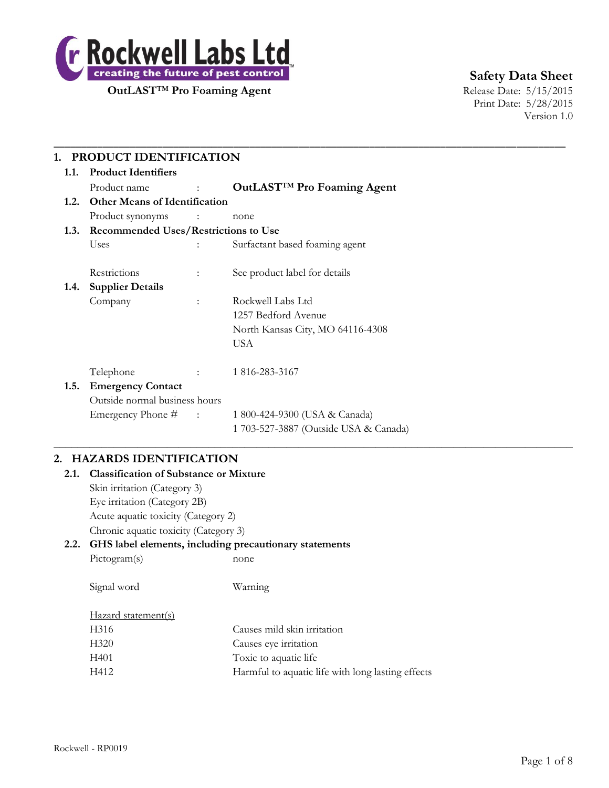

# **Safety Data Sheet**

Print Date: 5/28/2015 Version 1.0

# **1. PRODUCT IDENTIFICATION 1.1. Product Identifiers** Product name : **OutLAST**™ **Pro Foaming Agent 1.2. Other Means of Identification** Product synonyms : none **1.3. Recommended Uses/Restrictions to Use** Uses : Surfactant based foaming agent Restrictions : See product label for details **1.4. Supplier Details** Company : Rockwell Labs Ltd 1257 Bedford Avenue North Kansas City, MO 64116-4308 USA Telephone : 1 816-283-3167 **1.5. Emergency Contact** Outside normal business hours Emergency Phone # : 1 800-424-9300 (USA & Canada) 1 703-527-3887 (Outside USA & Canada)  $\_$  , and the set of the set of the set of the set of the set of the set of the set of the set of the set of the set of the set of the set of the set of the set of the set of the set of the set of the set of the set of th

\_\_\_\_\_\_\_\_\_\_\_\_\_\_\_\_\_\_\_\_\_\_\_\_\_\_\_\_\_\_\_\_\_\_\_\_\_\_\_\_\_\_\_\_\_\_\_\_\_\_\_\_\_\_\_\_\_\_\_\_\_\_\_\_\_\_\_\_\_\_\_\_\_\_\_\_\_\_\_\_\_\_\_\_\_\_\_\_\_\_\_\_\_\_

## **2. HAZARDS IDENTIFICATION**

| 2.1. | <b>Classification of Substance or Mixture</b>               |  |  |  |
|------|-------------------------------------------------------------|--|--|--|
|      | Skin irritation (Category 3)                                |  |  |  |
|      | Eye irritation (Category 2B)                                |  |  |  |
|      | Acute aquatic toxicity (Category 2)                         |  |  |  |
|      | Chronic aquatic toxicity (Category 3)                       |  |  |  |
|      | 2.2. GHS label elements, including precautionary statements |  |  |  |
|      | Pictogram(s)<br>none                                        |  |  |  |
|      |                                                             |  |  |  |

Signal word Warning

### Hazard statement(s)

| H316             | Causes mild skin irritation                       |
|------------------|---------------------------------------------------|
| H <sub>320</sub> | Causes eye irritation                             |
| H401             | Toxic to aquatic life                             |
| H412             | Harmful to aquatic life with long lasting effects |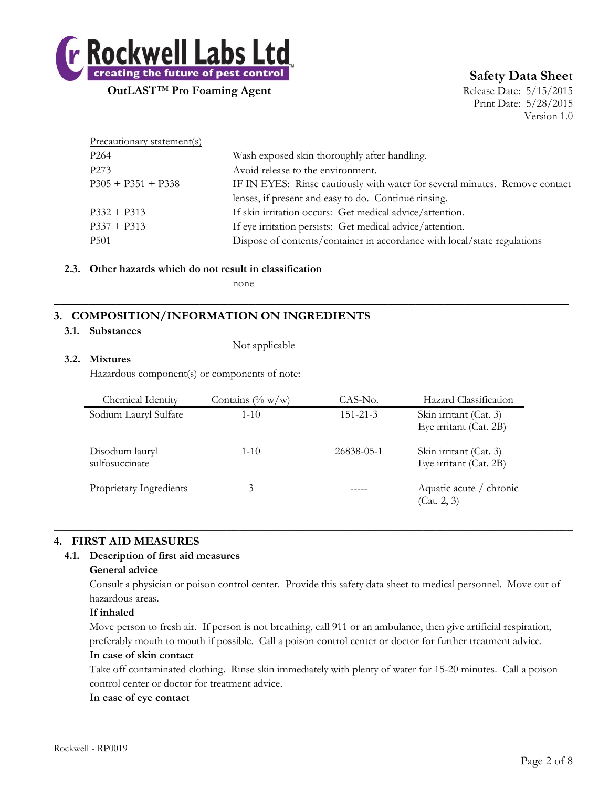

# **Safety Data Sheet**

Print Date: 5/28/2015 Version 1.0

| Precautionary statement(s)                                                                          |                                                                          |  |  |
|-----------------------------------------------------------------------------------------------------|--------------------------------------------------------------------------|--|--|
| P <sub>264</sub>                                                                                    | Wash exposed skin thoroughly after handling.                             |  |  |
| P <sub>273</sub>                                                                                    | Avoid release to the environment.                                        |  |  |
| $P305 + P351 + P338$<br>IF IN EYES: Rinse cautiously with water for several minutes. Remove contact |                                                                          |  |  |
|                                                                                                     | lenses, if present and easy to do. Continue rinsing.                     |  |  |
| $P332 + P313$                                                                                       | If skin irritation occurs: Get medical advice/attention.                 |  |  |
| $P337 + P313$                                                                                       | If eye irritation persists: Get medical advice/attention.                |  |  |
| <b>P501</b>                                                                                         | Dispose of contents/container in accordance with local/state regulations |  |  |

### **2.3. Other hazards which do not result in classification**

none

### **3. COMPOSITION/INFORMATION ON INGREDIENTS**

#### **3.1. Substances**

Not applicable

### **3.2. Mixtures**

Hazardous component(s) or components of note:

| Chemical Identity                 | Contains $(\% w/w)$ | CAS-No.        | Hazard Classification                            |
|-----------------------------------|---------------------|----------------|--------------------------------------------------|
| Sodium Lauryl Sulfate             | $1 - 10$            | $151 - 21 - 3$ | Skin irritant (Cat. 3)<br>Eye irritant (Cat. 2B) |
| Disodium lauryl<br>sulfosuccinate | $1 - 10$            | 26838-05-1     | Skin irritant (Cat. 3)<br>Eye irritant (Cat. 2B) |
| Proprietary Ingredients           | 3                   |                | Aquatic acute / chronic<br>(Cat. 2, 3)           |

 $\_$  , and the set of the set of the set of the set of the set of the set of the set of the set of the set of the set of the set of the set of the set of the set of the set of the set of the set of the set of the set of th

**\_\_\_\_\_\_\_\_\_\_\_\_\_\_\_\_\_\_\_\_\_\_\_\_\_\_\_\_\_\_\_\_\_\_\_\_\_\_\_\_\_\_\_\_\_\_\_\_\_\_\_\_\_\_\_\_\_\_\_\_\_\_\_\_\_\_\_\_\_\_\_\_\_\_**

### **4. FIRST AID MEASURES**

### **4.1. Description of first aid measures**

### **General advice**

Consult a physician or poison control center. Provide this safety data sheet to medical personnel. Move out of hazardous areas.

### **If inhaled**

Move person to fresh air. If person is not breathing, call 911 or an ambulance, then give artificial respiration, preferably mouth to mouth if possible. Call a poison control center or doctor for further treatment advice.

### **In case of skin contact**

Take off contaminated clothing. Rinse skin immediately with plenty of water for 15-20 minutes. Call a poison control center or doctor for treatment advice.

### **In case of eye contact**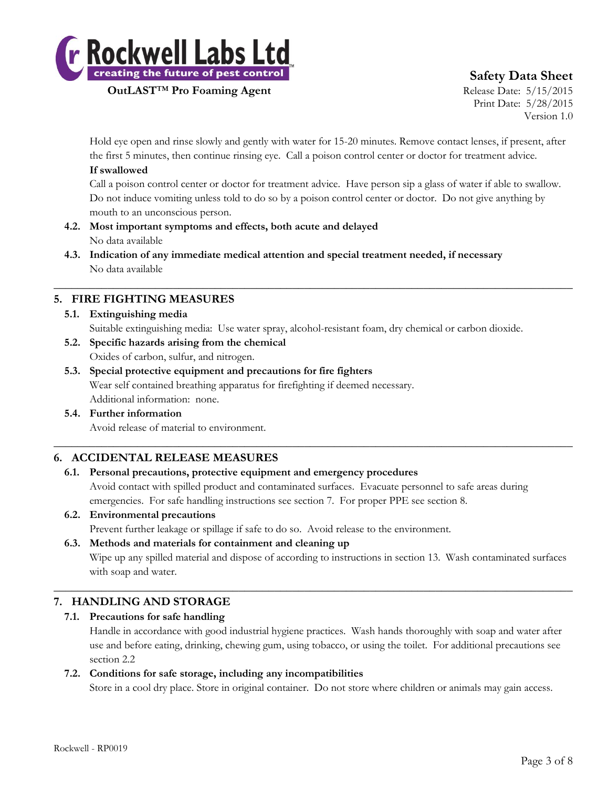

# **Safety Data Sheet**

Print Date: 5/28/2015 Version 1.0

Hold eye open and rinse slowly and gently with water for 15-20 minutes. Remove contact lenses, if present, after the first 5 minutes, then continue rinsing eye. Call a poison control center or doctor for treatment advice. **If swallowed**

Call a poison control center or doctor for treatment advice. Have person sip a glass of water if able to swallow. Do not induce vomiting unless told to do so by a poison control center or doctor. Do not give anything by mouth to an unconscious person.

- **4.2. Most important symptoms and effects, both acute and delayed** No data available
- **4.3. Indication of any immediate medical attention and special treatment needed, if necessary** No data available

## **5. FIRE FIGHTING MEASURES**

- **5.1. Extinguishing media**
	- Suitable extinguishing media: Use water spray, alcohol-resistant foam, dry chemical or carbon dioxide.

 $\_$  , and the set of the set of the set of the set of the set of the set of the set of the set of the set of the set of the set of the set of the set of the set of the set of the set of the set of the set of the set of th

- **5.2. Specific hazards arising from the chemical** Oxides of carbon, sulfur, and nitrogen.
- **5.3. Special protective equipment and precautions for fire fighters** Wear self contained breathing apparatus for firefighting if deemed necessary. Additional information: none.
- **5.4. Further information** Avoid release of material to environment.

## **6. ACCIDENTAL RELEASE MEASURES**

### **6.1. Personal precautions, protective equipment and emergency procedures**

Avoid contact with spilled product and contaminated surfaces. Evacuate personnel to safe areas during emergencies. For safe handling instructions see section 7. For proper PPE see section 8.

 $\_$  , and the set of the set of the set of the set of the set of the set of the set of the set of the set of the set of the set of the set of the set of the set of the set of the set of the set of the set of the set of th

**6.2. Environmental precautions**

Prevent further leakage or spillage if safe to do so. Avoid release to the environment.

**6.3. Methods and materials for containment and cleaning up**

Wipe up any spilled material and dispose of according to instructions in section 13. Wash contaminated surfaces with soap and water.

 $\_$  , and the set of the set of the set of the set of the set of the set of the set of the set of the set of the set of the set of the set of the set of the set of the set of the set of the set of the set of the set of th

## **7. HANDLING AND STORAGE**

### **7.1. Precautions for safe handling**

Handle in accordance with good industrial hygiene practices. Wash hands thoroughly with soap and water after use and before eating, drinking, chewing gum, using tobacco, or using the toilet. For additional precautions see section 2.2

### **7.2. Conditions for safe storage, including any incompatibilities**

Store in a cool dry place. Store in original container. Do not store where children or animals may gain access.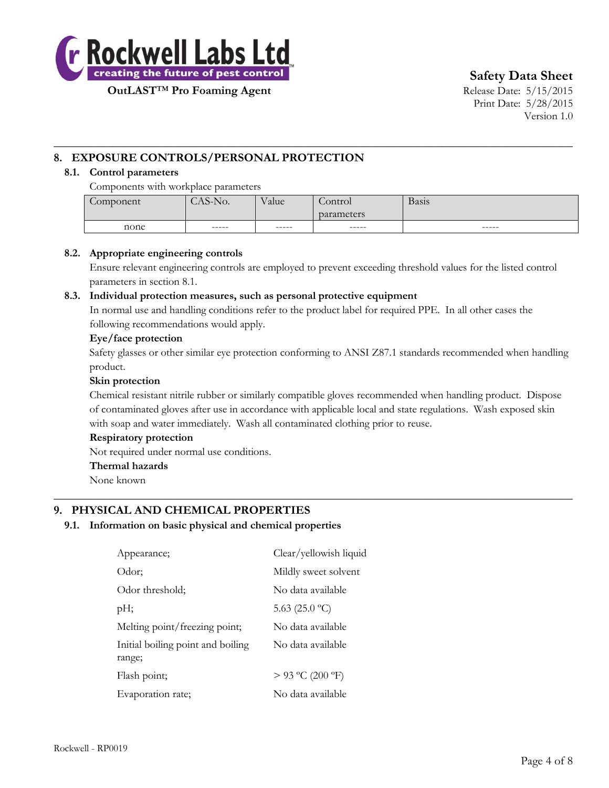

**Safety Data Sheet**

Print Date: 5/28/2015 Version 1.0

## **8. EXPOSURE CONTROLS/PERSONAL PROTECTION**

### **8.1. Control parameters**

Components with workplace parameters

| Component | No.<br>$\Lambda$ $\Omega$<br>$-1$ | $\mathbf{X}$<br>V alue l | control<br>parameters | <b>Basis</b> |
|-----------|-----------------------------------|--------------------------|-----------------------|--------------|
| none      | ------                            | -----                    | ------                | ------       |

 $\_$  , and the set of the set of the set of the set of the set of the set of the set of the set of the set of the set of the set of the set of the set of the set of the set of the set of the set of the set of the set of th

### **8.2. Appropriate engineering controls**

Ensure relevant engineering controls are employed to prevent exceeding threshold values for the listed control parameters in section 8.1.

### **8.3. Individual protection measures, such as personal protective equipment**

In normal use and handling conditions refer to the product label for required PPE. In all other cases the following recommendations would apply.

### **Eye/face protection**

Safety glasses or other similar eye protection conforming to ANSI Z87.1 standards recommended when handling product.

### **Skin protection**

Chemical resistant nitrile rubber or similarly compatible gloves recommended when handling product. Dispose of contaminated gloves after use in accordance with applicable local and state regulations. Wash exposed skin with soap and water immediately. Wash all contaminated clothing prior to reuse.

 $\_$  , and the set of the set of the set of the set of the set of the set of the set of the set of the set of the set of the set of the set of the set of the set of the set of the set of the set of the set of the set of th

### **Respiratory protection**

Not required under normal use conditions.

### **Thermal hazards**

None known

### **9. PHYSICAL AND CHEMICAL PROPERTIES**

### **9.1. Information on basic physical and chemical properties**

| Appearance;                                 | Clear/yellowish liquid |
|---------------------------------------------|------------------------|
| Odor;                                       | Mildly sweet solvent   |
| Odor threshold;                             | No data available      |
| pH;                                         | 5.63 $(25.0 °C)$       |
| Melting point/freezing point;               | No data available      |
| Initial boiling point and boiling<br>range; | No data available      |
| Flash point;                                | $>$ 93 °C (200 °F)     |
| Evaporation rate;                           | No data available      |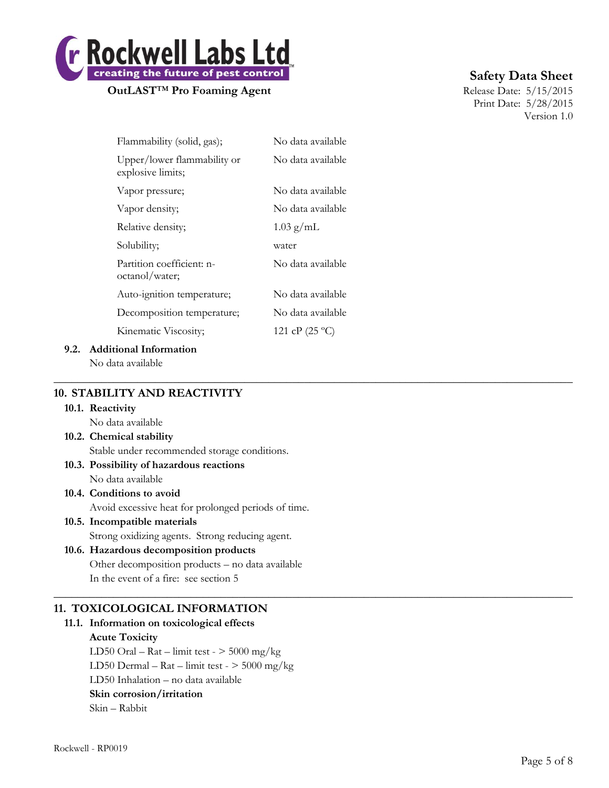

# **Safety Data Sheet**

Print Date: 5/28/2015 Version 1.0

| Flammability (solid, gas);                       | No data available |
|--------------------------------------------------|-------------------|
| Upper/lower flammability or<br>explosive limits; | No data available |
| Vapor pressure;                                  | No data available |
| Vapor density;                                   | No data available |
| Relative density;                                | $1.03$ g/mL       |
| Solubility;                                      | water             |
| Partition coefficient: n-<br>octanol/water;      | No data available |
| Auto-ignition temperature;                       | No data available |
| Decomposition temperature;                       | No data available |
| Kinematic Viscosity;                             | 121 cP (25 °C)    |
|                                                  |                   |

 $\_$  , and the set of the set of the set of the set of the set of the set of the set of the set of the set of the set of the set of the set of the set of the set of the set of the set of the set of the set of the set of th

 $\_$  , and the set of the set of the set of the set of the set of the set of the set of the set of the set of the set of the set of the set of the set of the set of the set of the set of the set of the set of the set of th

### **9.2. Additional Information**

No data available

### **10. STABILITY AND REACTIVITY**

### **10.1. Reactivity**

No data available

- **10.2. Chemical stability** Stable under recommended storage conditions.
- **10.3. Possibility of hazardous reactions** No data available

### **10.4. Conditions to avoid** Avoid excessive heat for prolonged periods of time.

**10.5. Incompatible materials** Strong oxidizing agents. Strong reducing agent.

## **10.6. Hazardous decomposition products** Other decomposition products – no data available In the event of a fire: see section 5

## **11. TOXICOLOGICAL INFORMATION**

## **11.1. Information on toxicological effects**

### **Acute Toxicity**

LD50 Oral – Rat – limit test -  $>$  5000 mg/kg LD50 Dermal –  $\text{Rat}$  – limit test -  $>$  5000 mg/kg LD50 Inhalation – no data available **Skin corrosion/irritation** Skin – Rabbit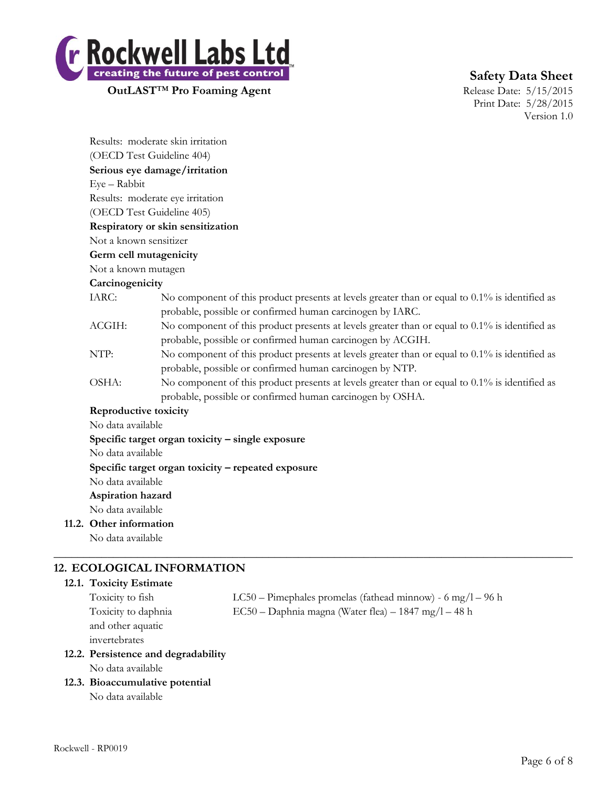

# **Safety Data Sheet**

Print Date: 5/28/2015 Version 1.0

|                               | Results: moderate skin irritation |                                                                                                                                                                 |  |  |  |
|-------------------------------|-----------------------------------|-----------------------------------------------------------------------------------------------------------------------------------------------------------------|--|--|--|
|                               | (OECD Test Guideline 404)         |                                                                                                                                                                 |  |  |  |
| Serious eye damage/irritation |                                   |                                                                                                                                                                 |  |  |  |
|                               | Eye - Rabbit                      |                                                                                                                                                                 |  |  |  |
|                               |                                   | Results: moderate eye irritation                                                                                                                                |  |  |  |
|                               | (OECD Test Guideline 405)         |                                                                                                                                                                 |  |  |  |
|                               |                                   | Respiratory or skin sensitization                                                                                                                               |  |  |  |
|                               | Not a known sensitizer            |                                                                                                                                                                 |  |  |  |
|                               | Germ cell mutagenicity            |                                                                                                                                                                 |  |  |  |
|                               | Not a known mutagen               |                                                                                                                                                                 |  |  |  |
|                               | Carcinogenicity                   |                                                                                                                                                                 |  |  |  |
|                               | IARC:                             | No component of this product presents at levels greater than or equal to $0.1\%$ is identified as<br>probable, possible or confirmed human carcinogen by IARC.  |  |  |  |
|                               | ACGIH:                            | No component of this product presents at levels greater than or equal to $0.1\%$ is identified as<br>probable, possible or confirmed human carcinogen by ACGIH. |  |  |  |
|                               | NTP:                              | No component of this product presents at levels greater than or equal to 0.1% is identified as<br>probable, possible or confirmed human carcinogen by NTP.      |  |  |  |
|                               | OSHA:                             | No component of this product presents at levels greater than or equal to 0.1% is identified as<br>probable, possible or confirmed human carcinogen by OSHA.     |  |  |  |
|                               | Reproductive toxicity             |                                                                                                                                                                 |  |  |  |
|                               | No data available                 |                                                                                                                                                                 |  |  |  |
|                               |                                   | Specific target organ toxicity - single exposure                                                                                                                |  |  |  |
|                               | No data available                 |                                                                                                                                                                 |  |  |  |
|                               |                                   | Specific target organ toxicity - repeated exposure                                                                                                              |  |  |  |
|                               | No data available                 |                                                                                                                                                                 |  |  |  |
|                               | Aspiration hazard                 |                                                                                                                                                                 |  |  |  |
|                               | No data available                 |                                                                                                                                                                 |  |  |  |
|                               | 11.2. Other information           |                                                                                                                                                                 |  |  |  |
|                               | No data available                 |                                                                                                                                                                 |  |  |  |
|                               |                                   | 12. ECOLOGICAL INFORMATION                                                                                                                                      |  |  |  |
|                               | 12.1. Toxicity Estimate           |                                                                                                                                                                 |  |  |  |
|                               | Toxicity to fish                  | LC50 - Pimephales promelas (fathead minnow) - 6 mg/l - 96 h                                                                                                     |  |  |  |

and other aquatic

invertebrates

- Toxicity to daphnia EC50 Daphnia magna (Water flea) 1847 mg/l 48 h
- **12.2. Persistence and degradability**

No data available

**12.3. Bioaccumulative potential** No data available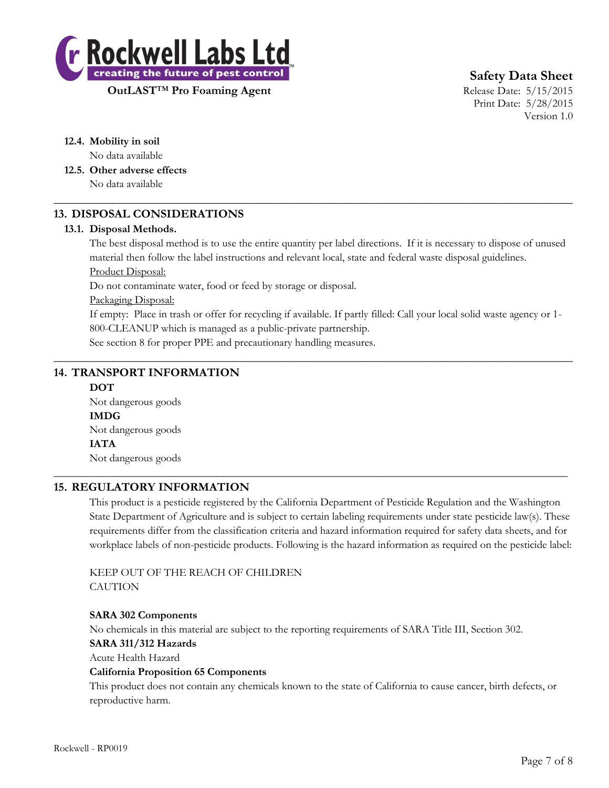

**Safety Data Sheet**

Print Date: 5/28/2015 Version 1.0

### **12.4. Mobility in soil**

No data available

**12.5. Other adverse effects**

No data available

## **13. DISPOSAL CONSIDERATIONS**

### **13.1. Disposal Methods.**

The best disposal method is to use the entire quantity per label directions. If it is necessary to dispose of unused material then follow the label instructions and relevant local, state and federal waste disposal guidelines.

 $\_$  , and the set of the set of the set of the set of the set of the set of the set of the set of the set of the set of the set of the set of the set of the set of the set of the set of the set of the set of the set of th

Product Disposal:

Do not contaminate water, food or feed by storage or disposal.

Packaging Disposal:

If empty: Place in trash or offer for recycling if available. If partly filled: Call your local solid waste agency or 1- 800-CLEANUP which is managed as a public-private partnership.

 $\_$  , and the set of the set of the set of the set of the set of the set of the set of the set of the set of the set of the set of the set of the set of the set of the set of the set of the set of the set of the set of th

\_\_\_\_\_\_\_\_\_\_\_\_\_\_\_\_\_\_\_\_\_\_\_\_\_\_\_\_\_\_\_\_\_\_\_\_\_\_\_\_\_\_\_\_\_\_\_\_\_\_\_\_\_\_\_\_\_\_\_\_\_\_\_\_\_\_\_\_\_\_\_\_\_\_\_\_\_\_\_\_\_\_\_\_\_\_\_\_\_\_\_\_\_\_

See section 8 for proper PPE and precautionary handling measures.

## **14. TRANSPORT INFORMATION**

### **DOT**

Not dangerous goods **IMDG** Not dangerous goods **IATA** Not dangerous goods

### **15. REGULATORY INFORMATION**

This product is a pesticide registered by the California Department of Pesticide Regulation and the Washington State Department of Agriculture and is subject to certain labeling requirements under state pesticide law(s). These requirements differ from the classification criteria and hazard information required for safety data sheets, and for workplace labels of non-pesticide products. Following is the hazard information as required on the pesticide label:

KEEP OUT OF THE REACH OF CHILDREN **CAUTION** 

### **SARA 302 Components**

No chemicals in this material are subject to the reporting requirements of SARA Title III, Section 302.

### **SARA 311/312 Hazards**

Acute Health Hazard

### **California Proposition 65 Components**

This product does not contain any chemicals known to the state of California to cause cancer, birth defects, or reproductive harm.